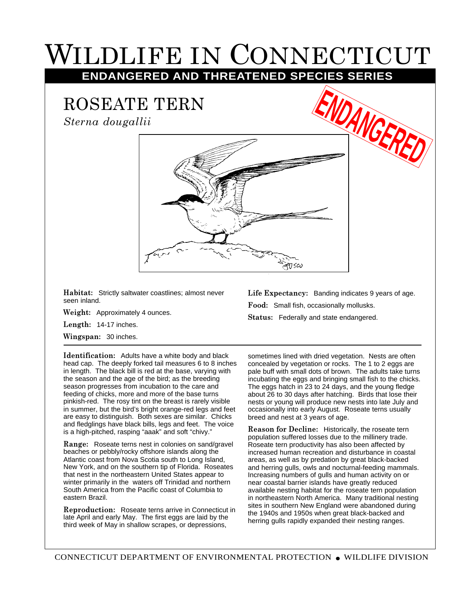## WILDLIFE IN CONNECTICUT

**ENDANGERED AND THREATENED SPECIES SERIES**

ROSEATE TERN

*Sterna dougallii*



**Habitat:** Strictly saltwater coastlines; almost never seen inland.

**Weight:** Approximately 4 ounces.

**Length:** 14-17 inches.

**Wingspan:** 30 inches.

**Identification:** Adults have a white body and black head cap. The deeply forked tail measures 6 to 8 inches in length. The black bill is red at the base, varying with the season and the age of the bird; as the breeding season progresses from incubation to the care and feeding of chicks, more and more of the base turns pinkish-red. The rosy tint on the breast is rarely visible in summer, but the bird's bright orange-red legs and feet are easy to distinguish. Both sexes are similar. Chicks and fledglings have black bills, legs and feet. The voice is a high-pitched, rasping "aaak" and soft "chivy."

**Range:** Roseate terns nest in colonies on sand/gravel beaches or pebbly/rocky offshore islands along the Atlantic coast from Nova Scotia south to Long Island, New York, and on the southern tip of Florida. Roseates that nest in the northeastern United States appear to winter primarily in the waters off Trinidad and northern South America from the Pacific coast of Columbia to eastern Brazil.

**Reproduction:** Roseate terns arrive in Connecticut in late April and early May. The first eggs are laid by the third week of May in shallow scrapes, or depressions,

**Life Expectancy:** Banding indicates 9 years of age. **Food:** Small fish, occasionally mollusks. **Status:** Federally and state endangered.

**ENGER** 

sometimes lined with dried vegetation. Nests are often concealed by vegetation or rocks. The 1 to 2 eggs are pale buff with small dots of brown. The adults take turns incubating the eggs and bringing small fish to the chicks. The eggs hatch in 23 to 24 days, and the young fledge about 26 to 30 days after hatching. Birds that lose their nests or young will produce new nests into late July and occasionally into early August. Roseate terns usually breed and nest at 3 years of age.

**Reason for Decline:** Historically, the roseate tern population suffered losses due to the millinery trade. Roseate tern productivity has also been affected by increased human recreation and disturbance in coastal areas, as well as by predation by great black-backed and herring gulls, owls and nocturnal-feeding mammals. Increasing numbers of gulls and human activity on or near coastal barrier islands have greatly reduced available nesting habitat for the roseate tern population in northeastern North America. Many traditional nesting sites in southern New England were abandoned during the 1940s and 1950s when great black-backed and herring gulls rapidly expanded their nesting ranges.